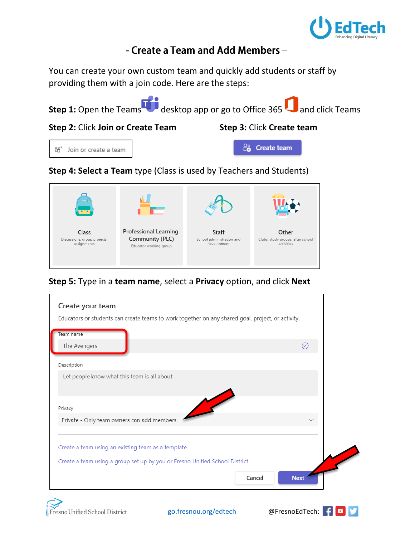

# - Create a Team and Add Members -

You can create your own custom team and quickly add students or staff by providing them with a join code. Here are the steps:



**Professional Learning** Community (PLC) Discussions, group projects, Educator working group



Other Clubs, study groups, after school<br>activities

**Step 5:** Type in a **team name**, select a **Privacy** option, and click **Next**



Class

assignments

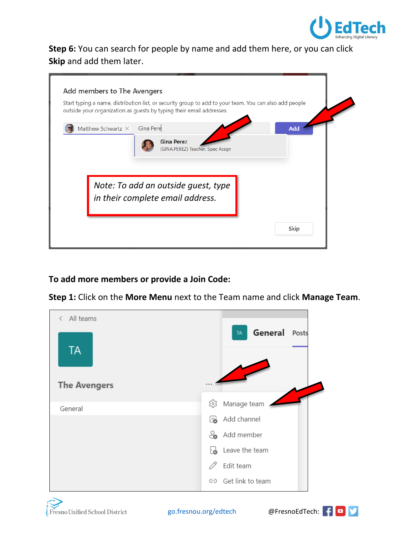

**Step 6:** You can search for people by name and add them here, or you can click **Skip** and add them later.

| Add members to The Avengers<br>Start typing a name, distribution list, or security group to add to your team. You can also add people<br>outside your organization as guests by typing their email addresses. |            |
|---------------------------------------------------------------------------------------------------------------------------------------------------------------------------------------------------------------|------------|
| Matthew Schwartz $\times$ Gina Pere                                                                                                                                                                           | <b>Add</b> |
| <b>Gina Perez</b><br>(GINA.PEREZ) Teacher, Spec Assgn                                                                                                                                                         |            |
|                                                                                                                                                                                                               |            |
|                                                                                                                                                                                                               |            |
|                                                                                                                                                                                                               |            |
| Note: To add an outside guest, type                                                                                                                                                                           |            |
| in their complete email address.                                                                                                                                                                              |            |

### **To add more members or provide a Join Code:**

**Step 1:** Click on the **More Menu** next to the Team name and click **Manage Team**.





[go.fresnou.org/edtech](https://go.fresnou.org/edtech) @FresnoEdTech:

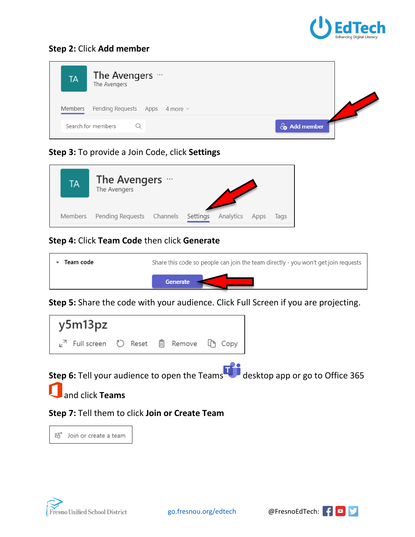

#### **Step 2:** Click **Add member**

| <b>TA</b> | The Avengers …<br>The Avengers                            |                          |
|-----------|-----------------------------------------------------------|--------------------------|
| Members   | Pending Requests Apps 4 more $\sim$<br>Search for members | $\frac{1}{2}$ Add member |
|           |                                                           |                          |

# **Step 3:** To provide a Join Code, click **Settings**

| TА      | The Avengers …<br>The Avengers |  |          |           |      |      |
|---------|--------------------------------|--|----------|-----------|------|------|
| Members | Pending Requests Channels      |  | Settings | Analytics | Apps | Tags |

## **Step 4:** Click **Team Code** then click **Generate**

| Team code | Share this code so people can join the team directly - you won't get join requests |  |
|-----------|------------------------------------------------------------------------------------|--|
|           | Generate                                                                           |  |

**Step 5:** Share the code with your audience. Click Full Screen if you are projecting.



**Step 6:** Tell your audience to open the Teams desktop app or go to Office 365

and click **Teams**

### **Step 7:** Tell them to click **Join or Create Team**

ยิ \* Join or create a team